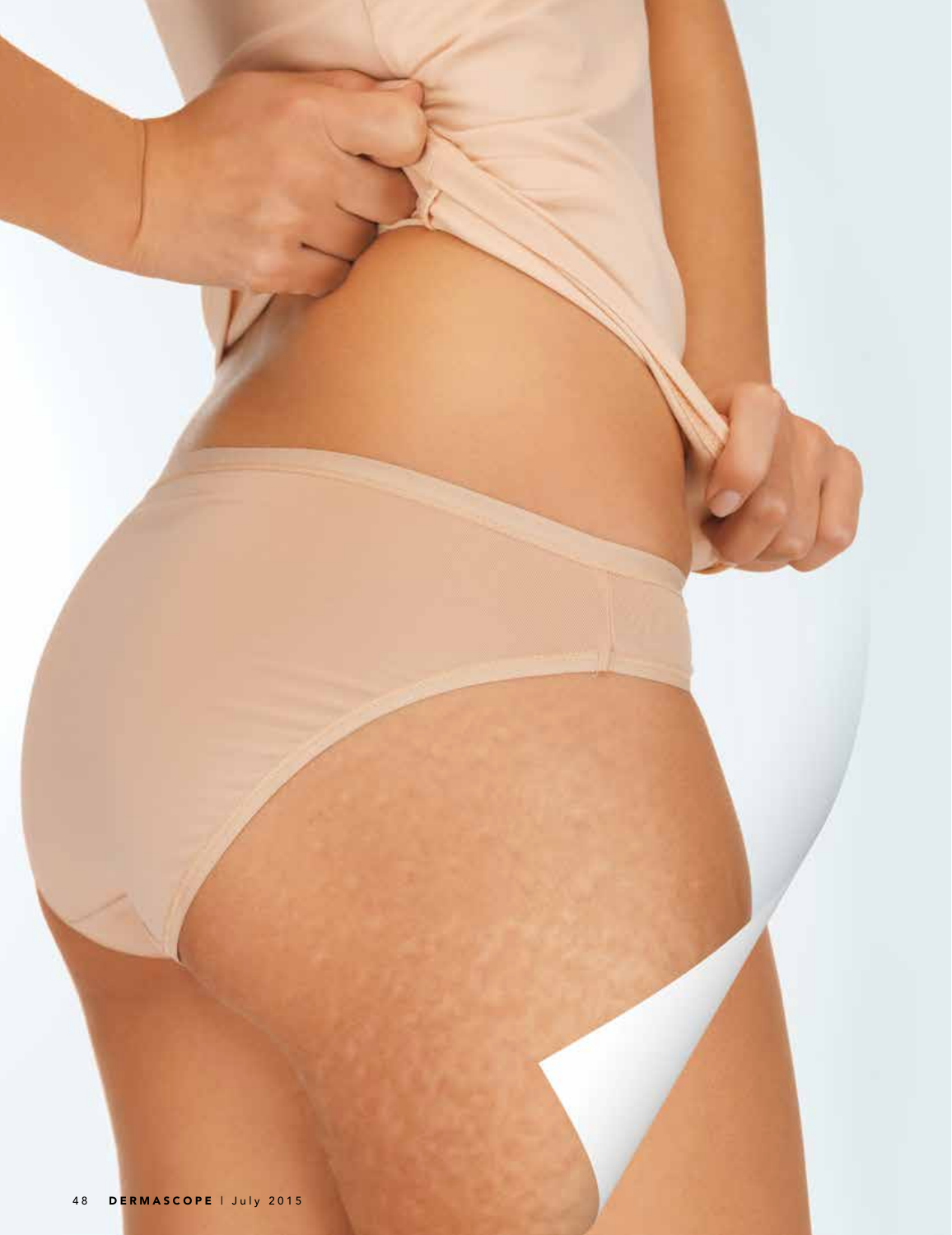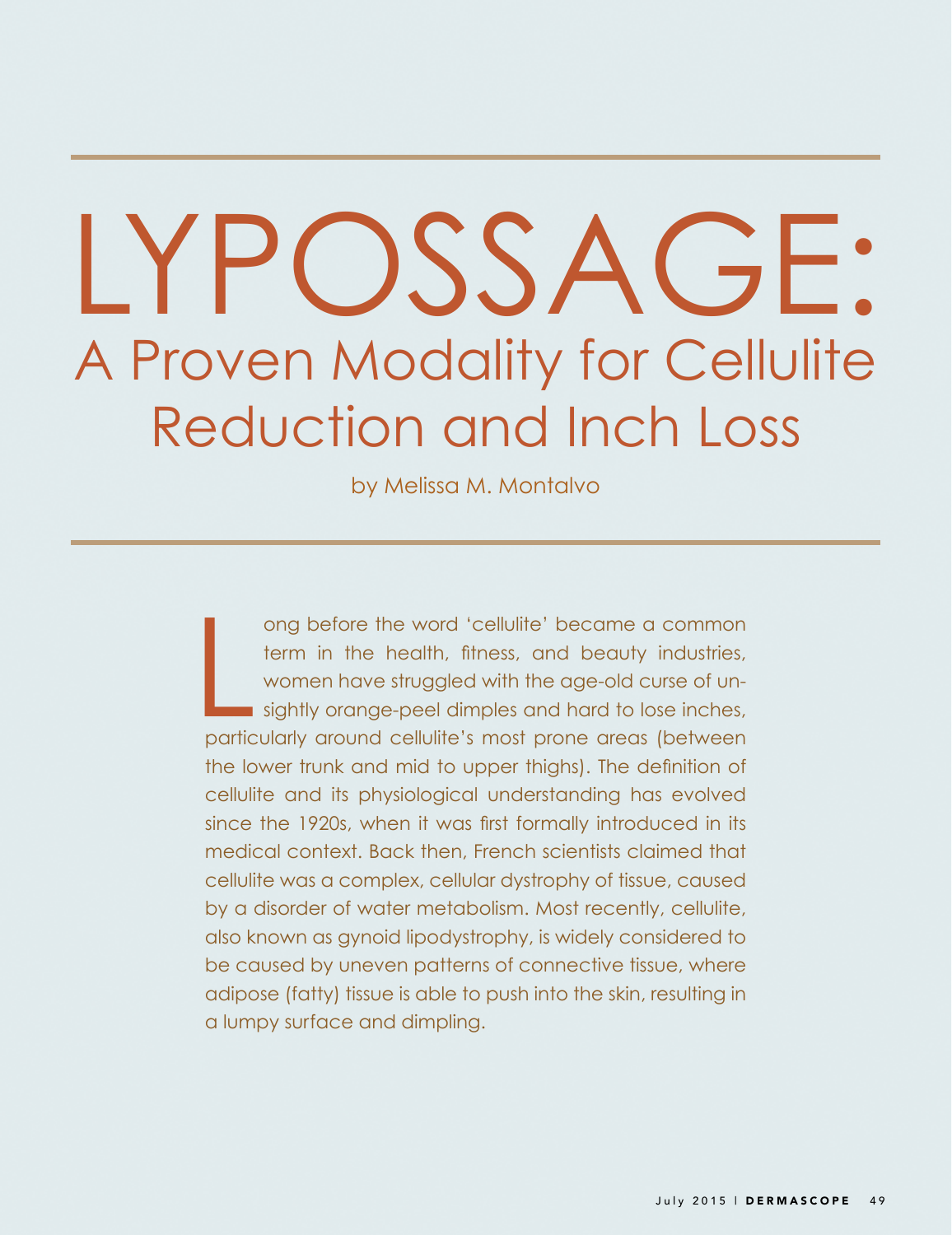# YPOSSAGE: A Proven Modality for Cellulite Reduction and Inch Loss

by Melissa M. Montalvo

 $\frac{1}{2}$ ong before the word 'cellulite' became a common term in the health, fitness, and beauty industries, women have struggled with the age-old curse of unsightly orange-peel dimples and hard to lose inches, particularly around cellulite's most prone areas (between the lower trunk and mid to upper thighs). The definition of cellulite and its physiological understanding has evolved since the 1920s, when it was first formally introduced in its medical context. Back then, French scientists claimed that cellulite was a complex, cellular dystrophy of tissue, caused by a disorder of water metabolism. Most recently, cellulite, also known as gynoid lipodystrophy, is widely considered to be caused by uneven patterns of connective tissue, where adipose (fatty) tissue is able to push into the skin, resulting in a lumpy surface and dimpling.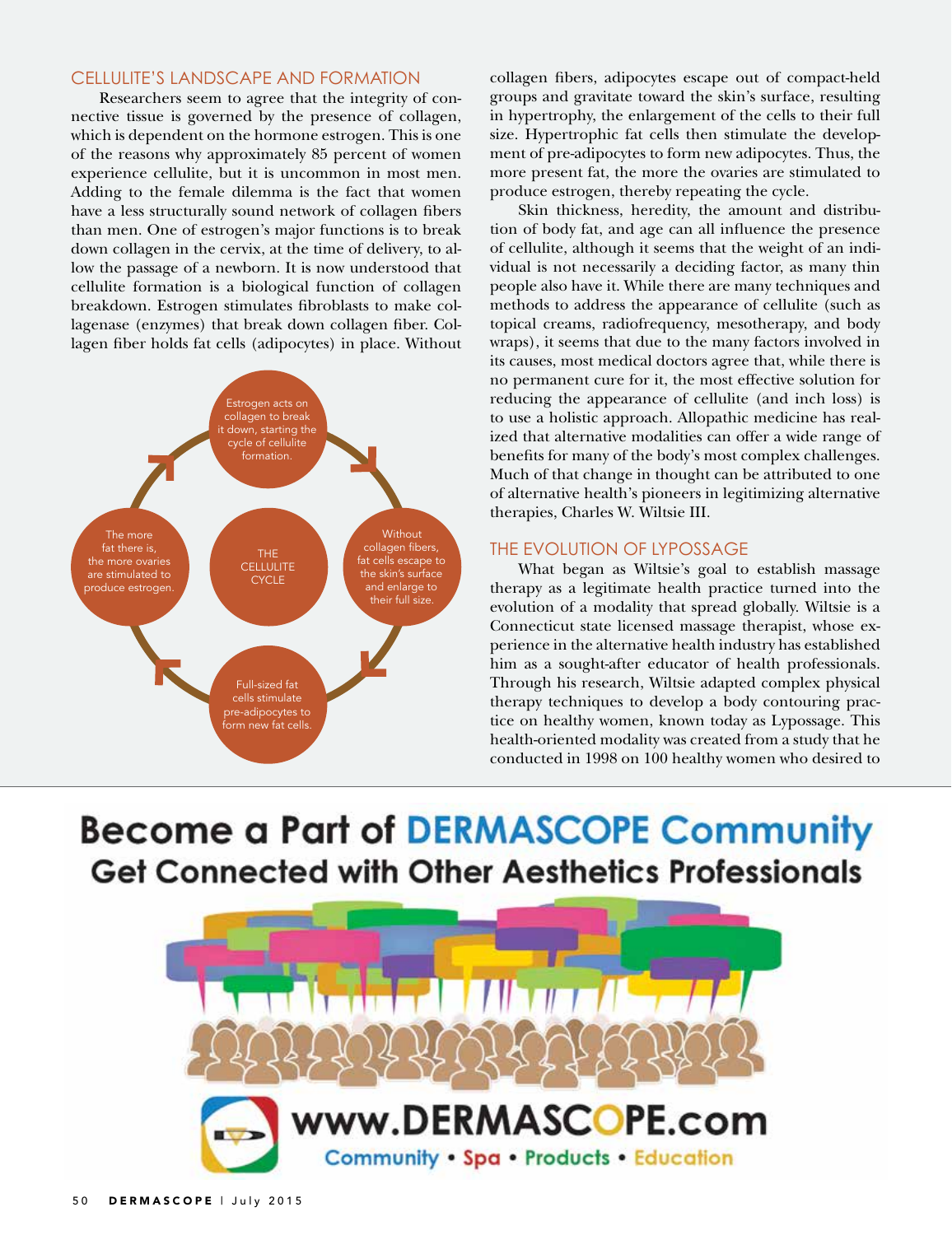#### Cellulite's Landscape and Formation

Researchers seem to agree that the integrity of connective tissue is governed by the presence of collagen, which is dependent on the hormone estrogen. This is one of the reasons why approximately 85 percent of women experience cellulite, but it is uncommon in most men. Adding to the female dilemma is the fact that women have a less structurally sound network of collagen fibers than men. One of estrogen's major functions is to break down collagen in the cervix, at the time of delivery, to allow the passage of a newborn. It is now understood that cellulite formation is a biological function of collagen breakdown. Estrogen stimulates fibroblasts to make collagenase (enzymes) that break down collagen fiber. Collagen fiber holds fat cells (adipocytes) in place. Without

![](_page_2_Figure_2.jpeg)

collagen fibers, adipocytes escape out of compact-held groups and gravitate toward the skin's surface, resulting in hypertrophy, the enlargement of the cells to their full size. Hypertrophic fat cells then stimulate the development of pre-adipocytes to form new adipocytes. Thus, the more present fat, the more the ovaries are stimulated to produce estrogen, thereby repeating the cycle.

Skin thickness, heredity, the amount and distribution of body fat, and age can all influence the presence of cellulite, although it seems that the weight of an individual is not necessarily a deciding factor, as many thin people also have it. While there are many techniques and methods to address the appearance of cellulite (such as topical creams, radiofrequency, mesotherapy, and body wraps), it seems that due to the many factors involved in its causes, most medical doctors agree that, while there is no permanent cure for it, the most effective solution for reducing the appearance of cellulite (and inch loss) is to use a holistic approach. Allopathic medicine has realized that alternative modalities can offer a wide range of benefits for many of the body's most complex challenges. Much of that change in thought can be attributed to one of alternative health's pioneers in legitimizing alternative therapies, Charles W. Wiltsie III.

#### The Evolution of Lypossage

What began as Wiltsie's goal to establish massage therapy as a legitimate health practice turned into the evolution of a modality that spread globally. Wiltsie is a Connecticut state licensed massage therapist, whose experience in the alternative health industry has established him as a sought-after educator of health professionals. Through his research, Wiltsie adapted complex physical therapy techniques to develop a body contouring practice on healthy women, known today as Lypossage. This health-oriented modality was created from a study that he conducted in 1998 on 100 healthy women who desired to

## **Become a Part of DERMASCOPE Community Get Connected with Other Aesthetics Professionals**

![](_page_2_Picture_8.jpeg)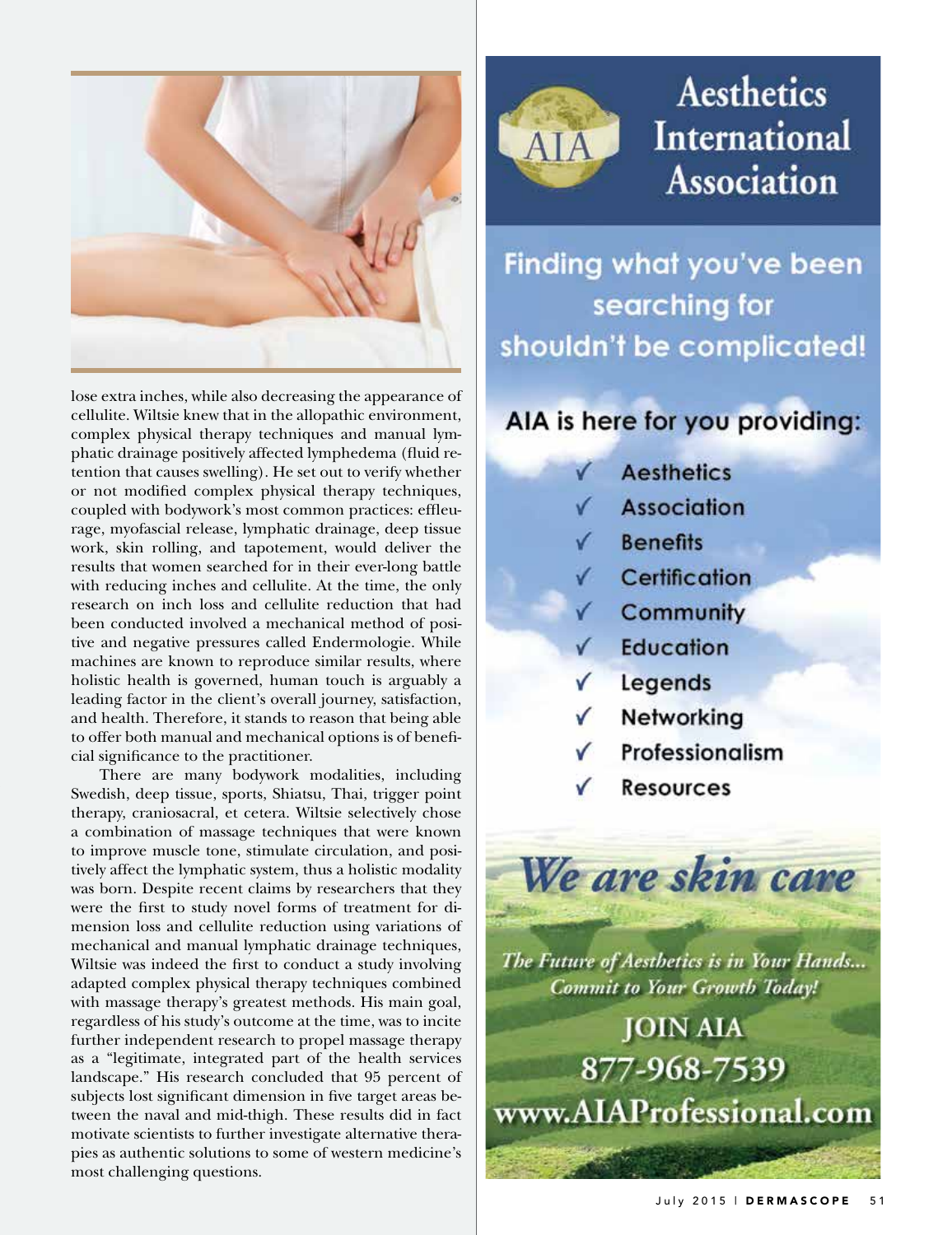![](_page_3_Picture_0.jpeg)

lose extra inches, while also decreasing the appearance of cellulite. Wiltsie knew that in the allopathic environment, complex physical therapy techniques and manual lym phatic drainage positively affected lymphedema (fluid re tention that causes swelling). He set out to verify whether or not modified complex physical therapy techniques, coupled with bodywork's most common practices: effleu rage, myofascial release, lymphatic drainage, deep tissue work, skin rolling, and tapotement, would deliver the results that women searched for in their ever-long battle with reducing inches and cellulite. At the time, the only research on inch loss and cellulite reduction that had been conducted involved a mechanical method of posi tive and negative pressures called Endermologie. While machines are known to reproduce similar results, where holistic health is governed, human touch is arguably a leading factor in the client's overall journey, satisfaction, and health. Therefore, it stands to reason that being able to offer both manual and mechanical options is of benefi cial significance to the practitioner.

There are many bodywork modalities, including Swedish, deep tissue, sports, Shiatsu, Thai, trigger point therapy, craniosacral, et cetera. Wiltsie selectively chose a combination of massage techniques that were known to improve muscle tone, stimulate circulation, and posi tively affect the lymphatic system, thus a holistic modality was born. Despite recent claims by researchers that they were the first to study novel forms of treatment for di mension loss and cellulite reduction using variations of mechanical and manual lymphatic drainage techniques, Wiltsie was indeed the first to conduct a study involving adapted complex physical therapy techniques combined with massage therapy's greatest methods. His main goal, regardless of his study's outcome at the time, was to incite further independent research to propel massage therapy as a "legitimate, integrated part of the health services landscape." His research concluded that 95 percent of subjects lost significant dimension in five target areas be tween the naval and mid-thigh. These results did in fact motivate scientists to further investigate alternative therapies as authentic solutions to some of western medicine's most challenging questions.

![](_page_3_Picture_3.jpeg)

# **Aesthetics** International **Association**

Finding what you've been searching for shouldn't be complicated!

## AIA is here for you providing:

**Aesthetics Association Benefits** Certification Community Education Legends **Networking** Professionalism Resources

![](_page_3_Picture_8.jpeg)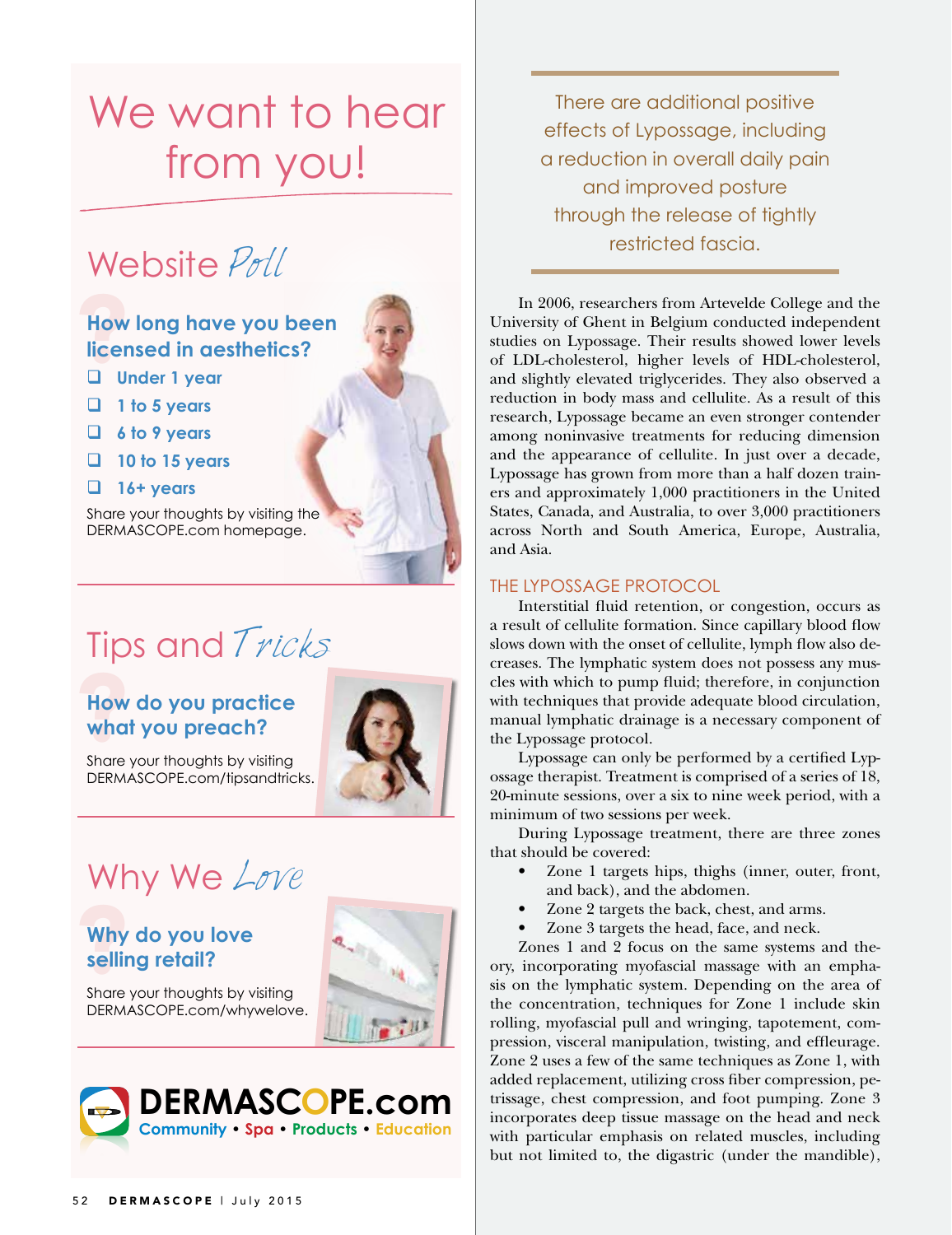# We want to hear from you!

# Website Poll

## How<br>licer **How long have you been licensed in aesthetics?**

- q **Under 1 year**
- q **1 to 5 years**
- q **6 to 9 years**
- q **10 to 15 years**
- q **16+ years**

Share your thoughts by visiting the DERMASCOPE.com homepage.

# Tips and Tricks

## How<br>wha **How do you practice what you preach?**

![](_page_4_Picture_11.jpeg)

Share your thoughts by visiting DERMASCOPE.com/tipsandtricks.

# Why We Love

## Why<br>sellin **Why do you love selling retail?**

![](_page_4_Picture_15.jpeg)

Share your thoughts by visiting DERMASCOPE.com/whywelove.

![](_page_4_Picture_17.jpeg)

There are additional positive effects of Lypossage, including a reduction in overall daily pain and improved posture through the release of tightly restricted fascia.

In 2006, researchers from Artevelde College and the University of Ghent in Belgium conducted independent studies on Lypossage. Their results showed lower levels of LDL-cholesterol, higher levels of HDL-cholesterol, and slightly elevated triglycerides. They also observed a reduction in body mass and cellulite. As a result of this research, Lypossage became an even stronger contender among noninvasive treatments for reducing dimension and the appearance of cellulite. In just over a decade, Lypossage has grown from more than a half dozen trainers and approximately 1,000 practitioners in the United States, Canada, and Australia, to over 3,000 practitioners across North and South America, Europe, Australia, and Asia.

### The Lypossage Protocol

Interstitial fluid retention, or congestion, occurs as a result of cellulite formation. Since capillary blood flow slows down with the onset of cellulite, lymph flow also decreases. The lymphatic system does not possess any muscles with which to pump fluid; therefore, in conjunction with techniques that provide adequate blood circulation, manual lymphatic drainage is a necessary component of the Lypossage protocol.

Lypossage can only be performed by a certified Lypossage therapist. Treatment is comprised of a series of 18, 20-minute sessions, over a six to nine week period, with a minimum of two sessions per week.

During Lypossage treatment, there are three zones that should be covered:

- Zone 1 targets hips, thighs (inner, outer, front, and back), and the abdomen.
- Zone 2 targets the back, chest, and arms.
- Zone 3 targets the head, face, and neck.

Zones 1 and 2 focus on the same systems and theory, incorporating myofascial massage with an emphasis on the lymphatic system. Depending on the area of the concentration, techniques for Zone 1 include skin rolling, myofascial pull and wringing, tapotement, compression, visceral manipulation, twisting, and effleurage. Zone 2 uses a few of the same techniques as Zone 1, with added replacement, utilizing cross fiber compression, petrissage, chest compression, and foot pumping. Zone 3 incorporates deep tissue massage on the head and neck with particular emphasis on related muscles, including but not limited to, the digastric (under the mandible),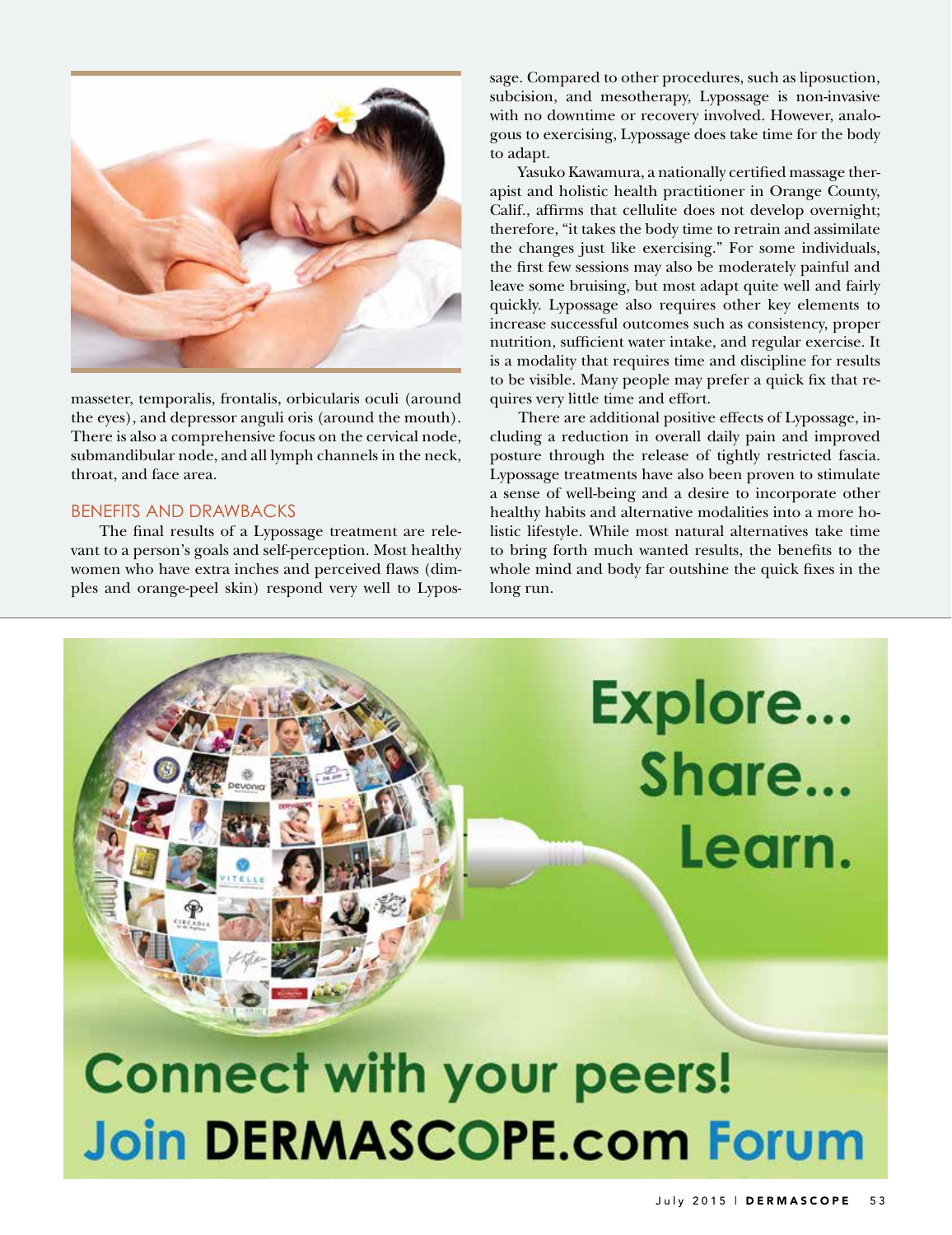![](_page_5_Picture_0.jpeg)

masseter, temporalis, frontalis, orbicularis oculi (around the eyes), and depressor anguli oris (around the mouth). There is also a comprehensive focus on the cervical node, submandibular node, and all lymph channels in the neck, throat, and face area.

#### Benefits and Drawbacks

The final results of a Lypossage treatment are relevant to a person's goals and self-perception. Most healthy women who have extra inches and perceived flaws (dimples and orange-peel skin) respond very well to Lypossage. Compared to other procedures, such as liposuction, subcision, and mesotherapy, Lypossage is non-invasive with no downtime or recovery involved. However, analogous to exercising, Lypossage does take time for the body to adapt.

Yasuko Kawamura, a nationally certified massage therapist and holistic health practitioner in Orange County, Calif., affirms that cellulite does not develop overnight; therefore, "it takes the body time to retrain and assimilate the changes just like exercising." For some individuals, the first few sessions may also be moderately painful and leave some bruising, but most adapt quite well and fairly quickly. Lypossage also requires other key elements to increase successful outcomes such as consistency, proper nutrition, sufficient water intake, and regular exercise. It is a modality that requires time and discipline for results to be visible. Many people may prefer a quick fix that requires very little time and effort.

There are additional positive effects of Lypossage, including a reduction in overall daily pain and improved posture through the release of tightly restricted fascia. Lypossage treatments have also been proven to stimulate a sense of well-being and a desire to incorporate other healthy habits and alternative modalities into a more holistic lifestyle. While most natural alternatives take time to bring forth much wanted results, the benefits to the whole mind and body far outshine the quick fixes in the long run.

![](_page_5_Picture_7.jpeg)